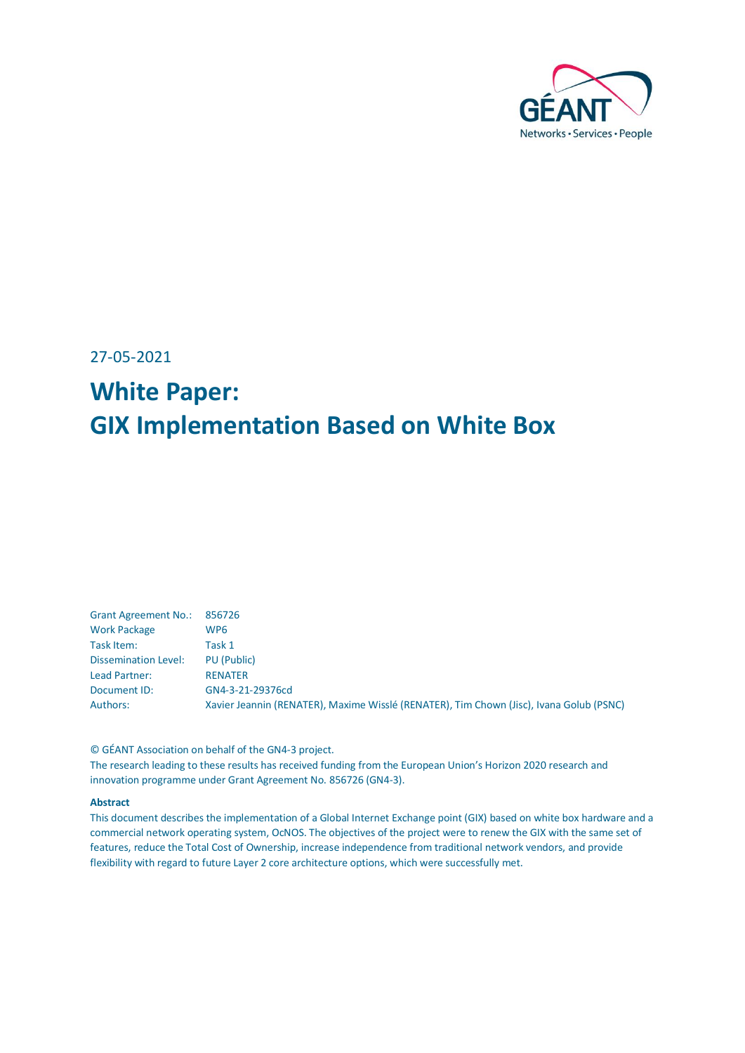

27-05-2021

# **White Paper: GIX Implementation Based on White Box**

| <b>Grant Agreement No.:</b> | 856726                                                                                  |
|-----------------------------|-----------------------------------------------------------------------------------------|
| <b>Work Package</b>         | WP6                                                                                     |
| Task Item:                  | Task 1                                                                                  |
| Dissemination Level:        | PU (Public)                                                                             |
| Lead Partner:               | <b>RENATER</b>                                                                          |
| Document ID:                | GN4-3-21-29376cd                                                                        |
| Authors:                    | Xavier Jeannin (RENATER), Maxime Wisslé (RENATER), Tim Chown (Jisc), Ivana Golub (PSNC) |

© GÉANT Association on behalf of the GN4-3 project.

The research leading to these results has received funding from the European Union's Horizon 2020 research and innovation programme under Grant Agreement No. 856726 (GN4-3).

#### **Abstract**

This document describes the implementation of a Global Internet Exchange point (GIX) based on white box hardware and a commercial network operating system, OcNOS. The objectives of the project were to renew the GIX with the same set of features, reduce the Total Cost of Ownership, increase independence from traditional network vendors, and provide flexibility with regard to future Layer 2 core architecture options, which were successfully met.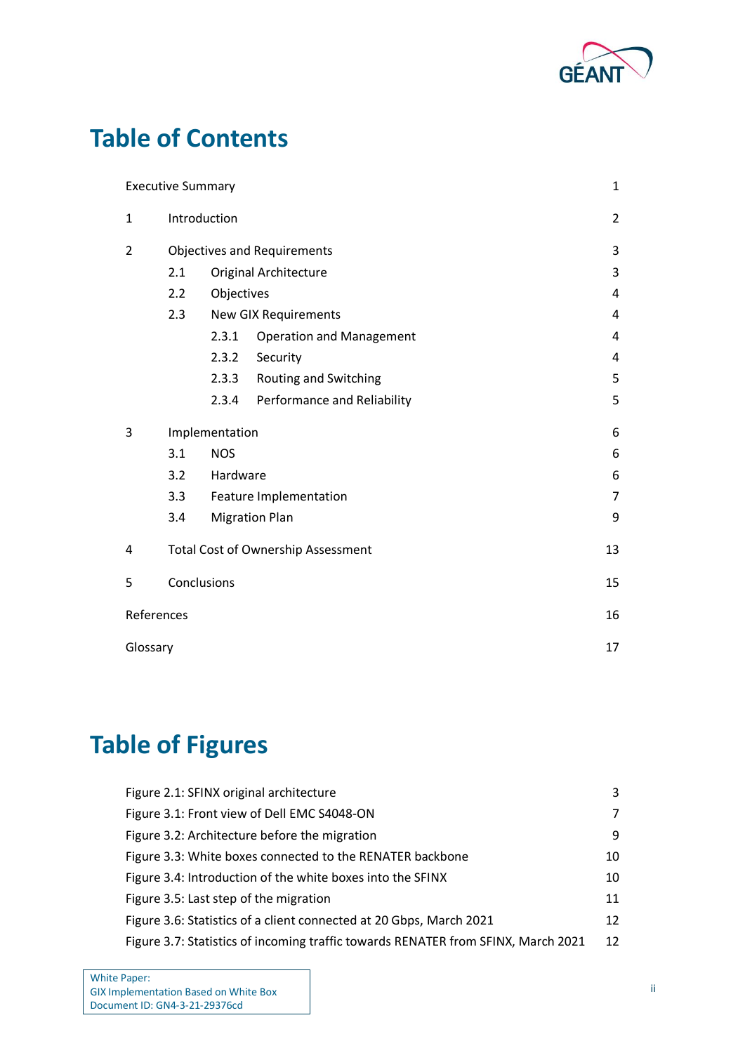

# **Table of Contents**

|            | <b>Executive Summary</b>           |                |                                           | 1              |
|------------|------------------------------------|----------------|-------------------------------------------|----------------|
| 1          | Introduction                       |                | $\overline{2}$                            |                |
| 2          | <b>Objectives and Requirements</b> |                | 3                                         |                |
|            | 2.1                                |                | <b>Original Architecture</b>              | 3              |
|            | 2.2                                | Objectives     |                                           | 4              |
|            | 2.3                                |                | <b>New GIX Requirements</b>               | 4              |
|            |                                    | 2.3.1          | <b>Operation and Management</b>           | 4              |
|            |                                    | 2.3.2          | Security                                  | 4              |
|            |                                    | 2.3.3          | Routing and Switching                     | 5              |
|            |                                    |                | 2.3.4 Performance and Reliability         | 5              |
| 3          |                                    | Implementation |                                           | 6              |
|            | 3.1                                | <b>NOS</b>     |                                           | 6              |
|            | 3.2                                | Hardware       |                                           | 6              |
|            | 3.3                                |                | Feature Implementation                    | $\overline{7}$ |
|            | 3.4                                |                | <b>Migration Plan</b>                     | 9              |
| 4          |                                    |                | <b>Total Cost of Ownership Assessment</b> | 13             |
| 5          |                                    | Conclusions    |                                           | 15             |
| References |                                    |                |                                           | 16             |
| Glossary   |                                    |                |                                           | 17             |

# **Table of Figures**

| Figure 2.1: SFINX original architecture                                           | 3              |
|-----------------------------------------------------------------------------------|----------------|
| Figure 3.1: Front view of Dell EMC S4048-ON                                       | $\overline{7}$ |
| Figure 3.2: Architecture before the migration                                     | 9              |
| Figure 3.3: White boxes connected to the RENATER backbone                         | 10             |
| Figure 3.4: Introduction of the white boxes into the SFINX                        | 10             |
| Figure 3.5: Last step of the migration                                            | 11             |
| Figure 3.6: Statistics of a client connected at 20 Gbps, March 2021               | 12             |
| Figure 3.7: Statistics of incoming traffic towards RENATER from SFINX, March 2021 | 12             |
|                                                                                   |                |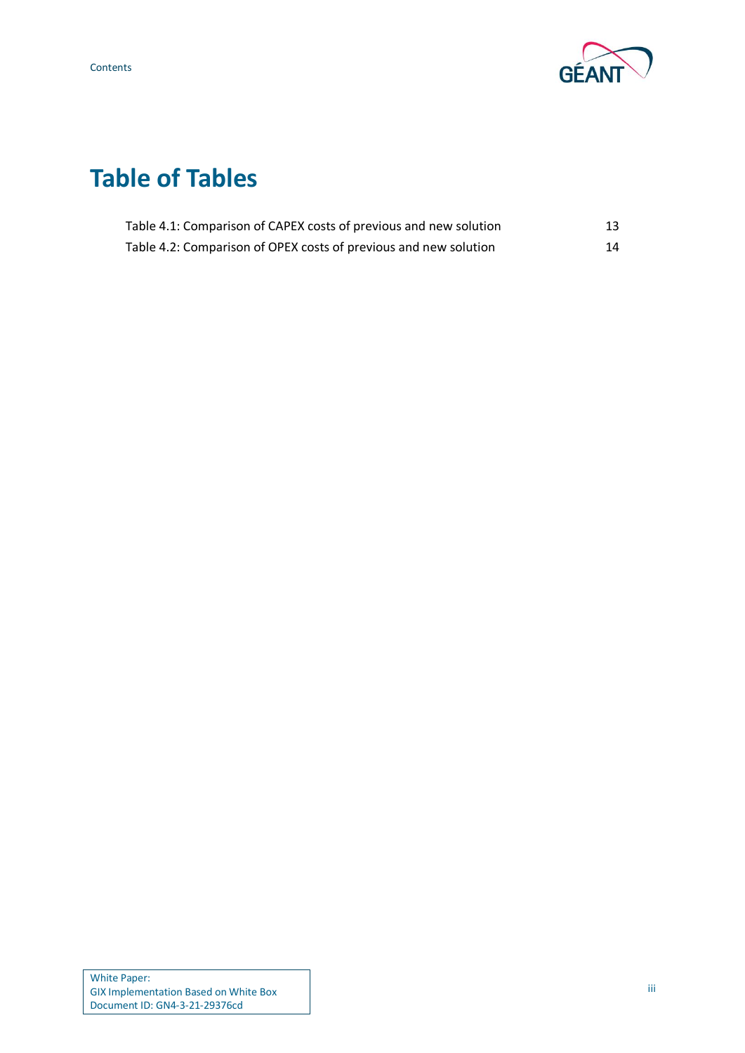

# **Table of Tables**

| Table 4.1: Comparison of CAPEX costs of previous and new solution |    |
|-------------------------------------------------------------------|----|
| Table 4.2: Comparison of OPEX costs of previous and new solution  | 14 |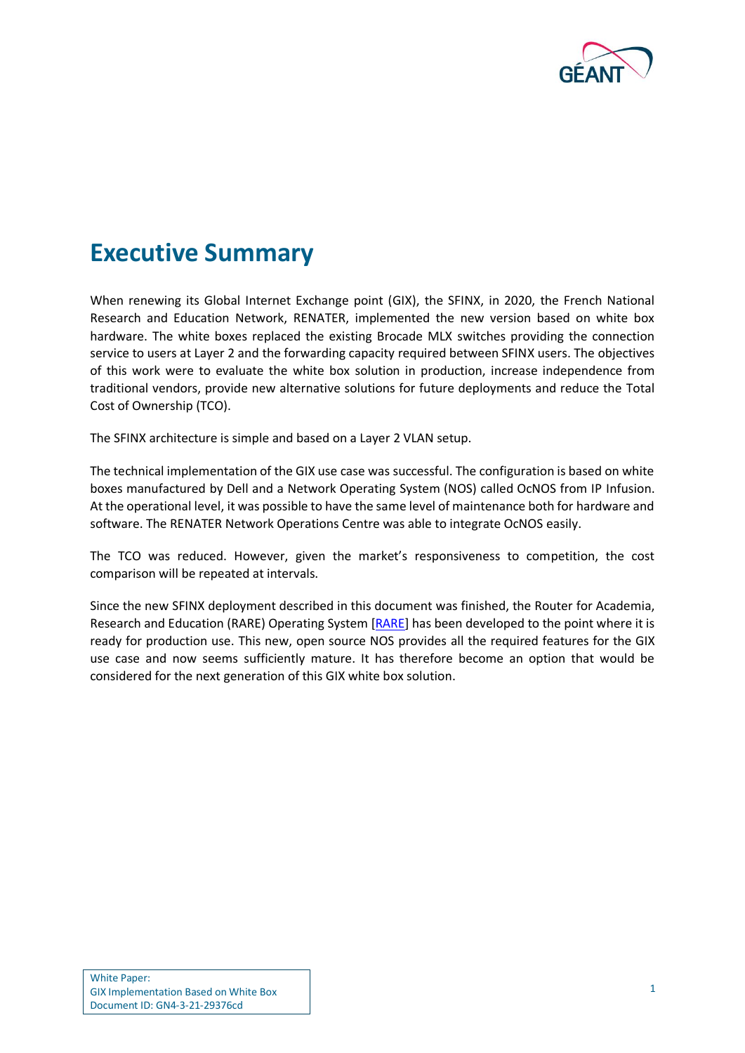

## <span id="page-3-0"></span>**Executive Summary**

When renewing its Global Internet Exchange point (GIX), the SFINX, in 2020, the French National Research and Education Network, RENATER, implemented the new version based on white box hardware. The white boxes replaced the existing Brocade MLX switches providing the connection service to users at Layer 2 and the forwarding capacity required between SFINX users. The objectives of this work were to evaluate the white box solution in production, increase independence from traditional vendors, provide new alternative solutions for future deployments and reduce the Total Cost of Ownership (TCO).

The SFINX architecture is simple and based on a Layer 2 VLAN setup.

The technical implementation of the GIX use case was successful. The configuration is based on white boxes manufactured by Dell and a Network Operating System (NOS) called OcNOS from IP Infusion. At the operational level, it was possible to have the same level of maintenance both for hardware and software. The RENATER Network Operations Centre was able to integrate OcNOS easily.

The TCO was reduced. However, given the market's responsiveness to competition, the cost comparison will be repeated at intervals.

Since the new SFINX deployment described in this document was finished, the Router for Academia, Research and Education (RARE) Operating System [\[RARE\]](#page-18-1) has been developed to the point where it is ready for production use. This new, open source NOS provides all the required features for the GIX use case and now seems sufficiently mature. It has therefore become an option that would be considered for the next generation of this GIX white box solution.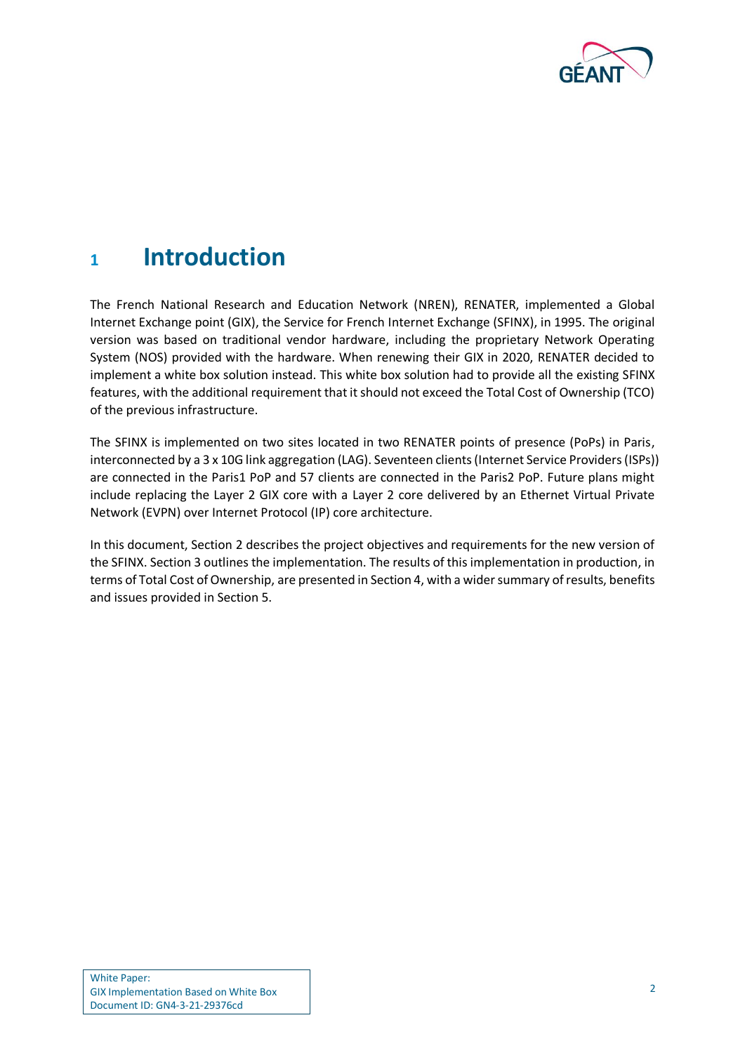

## <span id="page-4-0"></span>**<sup>1</sup> Introduction**

The French National Research and Education Network (NREN), RENATER, implemented a Global Internet Exchange point (GIX), the Service for French Internet Exchange (SFINX), in 1995. The original version was based on traditional vendor hardware, including the proprietary Network Operating System (NOS) provided with the hardware. When renewing their GIX in 2020, RENATER decided to implement a white box solution instead. This white box solution had to provide all the existing SFINX features, with the additional requirement that it should not exceed the Total Cost of Ownership (TCO) of the previous infrastructure.

The SFINX is implemented on two sites located in two RENATER points of presence (PoPs) in Paris, interconnected by a 3 x 10G link aggregation (LAG). Seventeen clients (Internet Service Providers (ISPs)) are connected in the Paris1 PoP and 57 clients are connected in the Paris2 PoP. Future plans might include replacing the Layer 2 GIX core with a Layer 2 core delivered by an Ethernet Virtual Private Network (EVPN) over Internet Protocol (IP) core architecture.

In this document, Section [2](#page-5-0) describes the project objectives and requirements for the new version of the SFINX. Section [3](#page-8-0) outlines the implementation. The results of this implementation in production, in terms of Total Cost of Ownership, are presented in Section [4,](#page-15-0) with a wider summary of results, benefits and issues provided in Section [5.](#page-17-0)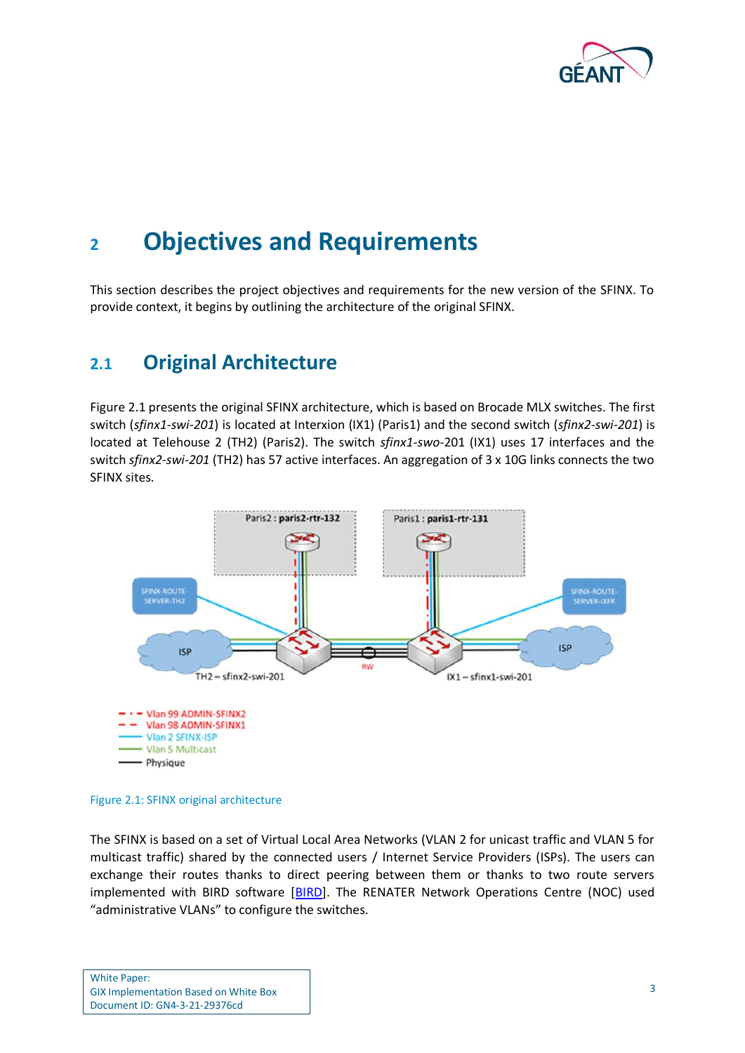

## <span id="page-5-0"></span>**<sup>2</sup> Objectives and Requirements**

This section describes the project objectives and requirements for the new version of the SFINX. To provide context, it begins by outlining the architecture of the original SFINX.

## <span id="page-5-1"></span>**2.1 Original Architecture**

[Figure 2.1](#page-5-2) presents the original SFINX architecture, which is based on Brocade MLX switches. The first switch (*sfinx1-swi-201*) is located at Interxion (IX1) (Paris1) and the second switch (*sfinx2-swi-201*) is located at Telehouse 2 (TH2) (Paris2). The switch *sfinx1-swo-*201 (IX1) uses 17 interfaces and the switch *sfinx2-swi-201* (TH2) has 57 active interfaces. An aggregation of 3 x 10G links connects the two SFINX sites.



<span id="page-5-2"></span>Figure 2.1: SFINX original architecture

The SFINX is based on a set of Virtual Local Area Networks (VLAN 2 for unicast traffic and VLAN 5 for multicast traffic) shared by the connected users / Internet Service Providers (ISPs). The users can exchange their routes thanks to direct peering between them or thanks to two route servers implemented with BIRD software [\[BIRD\]](#page-18-2). The RENATER Network Operations Centre (NOC) used "administrative VLANs" to configure the switches.

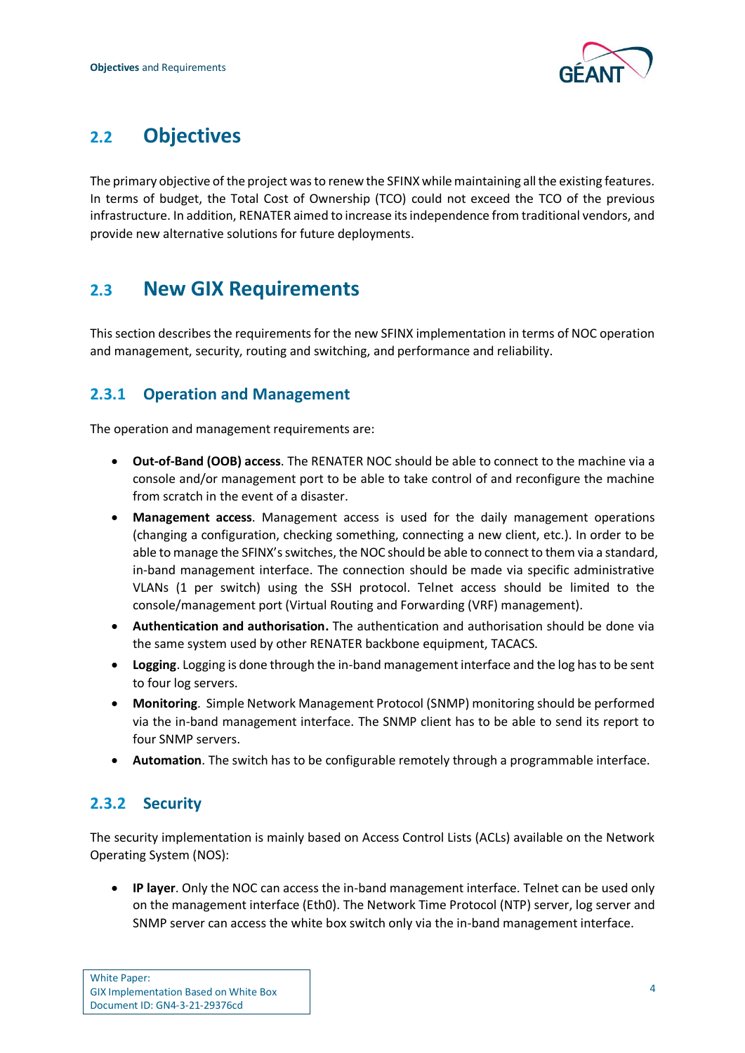

## <span id="page-6-0"></span>**2.2 Objectives**

The primary objective of the project was to renew the SFINX while maintaining all the existing features. In terms of budget, the Total Cost of Ownership (TCO) could not exceed the TCO of the previous infrastructure. In addition, RENATER aimed to increase itsindependence from traditional vendors, and provide new alternative solutions for future deployments.

## <span id="page-6-1"></span>**2.3 New GIX Requirements**

This section describes the requirements for the new SFINX implementation in terms of NOC operation and management, security, routing and switching, and performance and reliability.

### <span id="page-6-2"></span>**2.3.1 Operation and Management**

The operation and management requirements are:

- **Out-of-Band (OOB) access**. The RENATER NOC should be able to connect to the machine via a console and/or management port to be able to take control of and reconfigure the machine from scratch in the event of a disaster.
- **Management access**. Management access is used for the daily management operations (changing a configuration, checking something, connecting a new client, etc.). In order to be able to manage the SFINX's switches, the NOC should be able to connect to them via a standard, in-band management interface. The connection should be made via specific administrative VLANs (1 per switch) using the SSH protocol. Telnet access should be limited to the console/management port (Virtual Routing and Forwarding (VRF) management).
- **Authentication and authorisation.** The authentication and authorisation should be done via the same system used by other RENATER backbone equipment, TACACS.
- **Logging**. Logging is done through the in-band management interface and the log has to be sent to four log servers.
- **Monitoring**. Simple Network Management Protocol (SNMP) monitoring should be performed via the in-band management interface. The SNMP client has to be able to send its report to four SNMP servers.
- **Automation**. The switch has to be configurable remotely through a programmable interface.

### <span id="page-6-3"></span>**2.3.2 Security**

The security implementation is mainly based on Access Control Lists (ACLs) available on the Network Operating System (NOS):

• **IP layer**. Only the NOC can access the in-band management interface. Telnet can be used only on the management interface (Eth0). The Network Time Protocol (NTP) server, log server and SNMP server can access the white box switch only via the in-band management interface.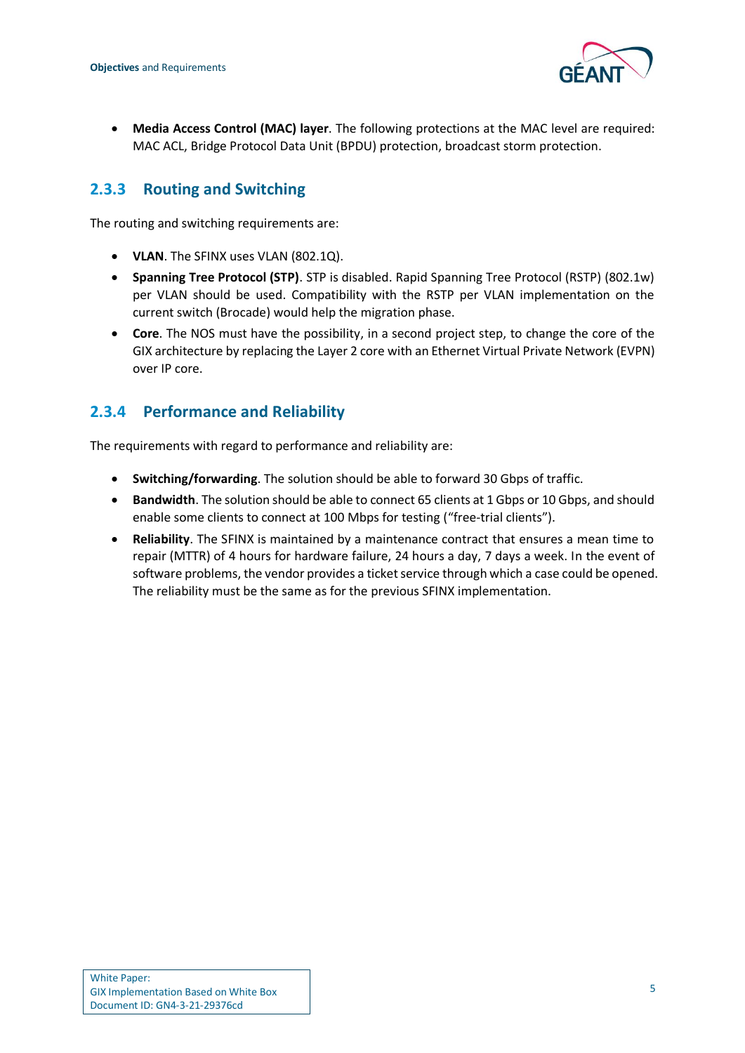

• **Media Access Control (MAC) layer**. The following protections at the MAC level are required: MAC ACL, Bridge Protocol Data Unit (BPDU) protection, broadcast storm protection.

### <span id="page-7-0"></span>**2.3.3 Routing and Switching**

The routing and switching requirements are:

- **VLAN**. The SFINX uses VLAN (802.1Q).
- **Spanning Tree Protocol (STP)**. STP is disabled. Rapid Spanning Tree Protocol (RSTP) (802.1w) per VLAN should be used. Compatibility with the RSTP per VLAN implementation on the current switch (Brocade) would help the migration phase.
- **Core**. The NOS must have the possibility, in a second project step, to change the core of the GIX architecture by replacing the Layer 2 core with an Ethernet Virtual Private Network (EVPN) over IP core.

### <span id="page-7-1"></span>**2.3.4 Performance and Reliability**

The requirements with regard to performance and reliability are:

- **Switching/forwarding**. The solution should be able to forward 30 Gbps of traffic.
- **Bandwidth**. The solution should be able to connect 65 clients at 1 Gbps or 10 Gbps, and should enable some clients to connect at 100 Mbps for testing ("free-trial clients").
- **Reliability**. The SFINX is maintained by a maintenance contract that ensures a mean time to repair (MTTR) of 4 hours for hardware failure, 24 hours a day, 7 days a week. In the event of software problems, the vendor provides a ticket service through which a case could be opened. The reliability must be the same as for the previous SFINX implementation.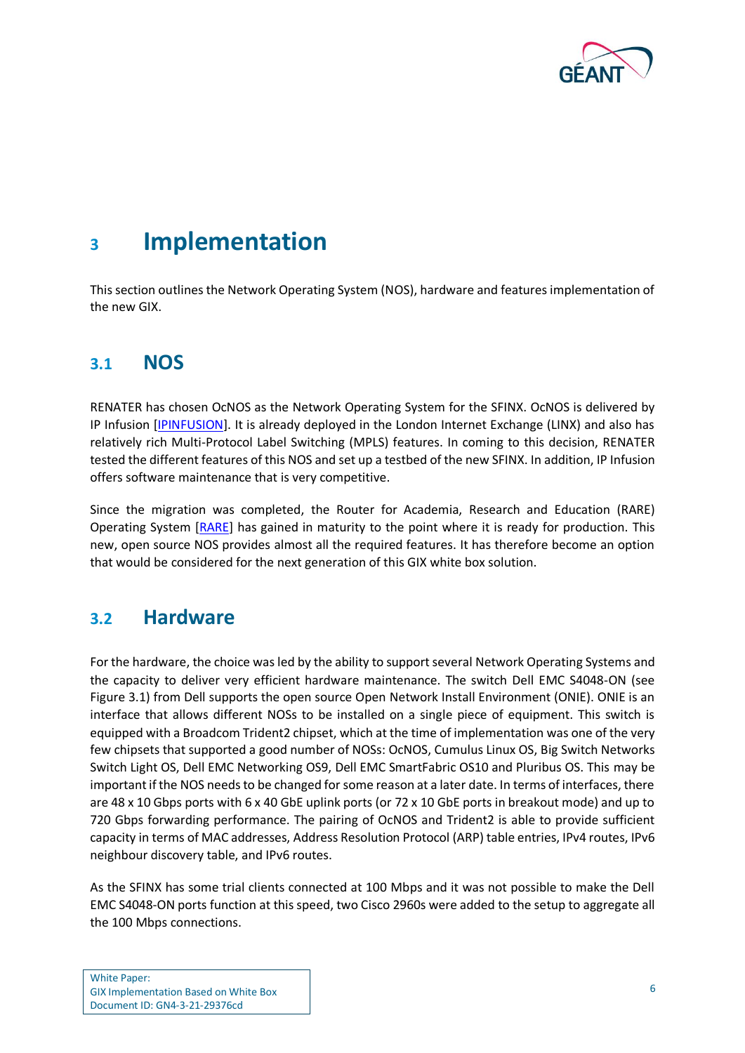

<span id="page-8-0"></span>This section outlines the Network Operating System (NOS), hardware and features implementation of the new GIX.

### <span id="page-8-1"></span>**3.1 NOS**

RENATER has chosen OcNOS as the Network Operating System for the SFINX. OcNOS is delivered by IP Infusion [\[IPINFUSION\]](#page-18-3). It is already deployed in the London Internet Exchange (LINX) and also has relatively rich Multi-Protocol Label Switching (MPLS) features. In coming to this decision, RENATER tested the different features of this NOS and set up a testbed of the new SFINX. In addition, IP Infusion offers software maintenance that is very competitive.

Since the migration was completed, the Router for Academia, Research and Education (RARE) Operating System [\[RARE\]](#page-18-1) has gained in maturity to the point where it is ready for production. This new, open source NOS provides almost all the required features. It has therefore become an option that would be considered for the next generation of this GIX white box solution.

### <span id="page-8-2"></span>**3.2 Hardware**

For the hardware, the choice was led by the ability to support several Network Operating Systems and the capacity to deliver very efficient hardware maintenance. The switch Dell EMC S4048-ON (see [Figure 3.1\)](#page-9-1) from Dell supports the open source Open Network Install Environment (ONIE). ONIE is an interface that allows different NOSs to be installed on a single piece of equipment. This switch is equipped with a Broadcom Trident2 chipset, which at the time of implementation was one of the very few chipsets that supported a good number of NOSs: OcNOS, Cumulus Linux OS, Big Switch Networks Switch Light OS, Dell EMC Networking OS9, Dell EMC SmartFabric OS10 and Pluribus OS. This may be important if the NOS needs to be changed for some reason at a later date. In terms of interfaces, there are 48 x 10 Gbps ports with 6 x 40 GbE uplink ports (or 72 x 10 GbE ports in breakout mode) and up to 720 Gbps forwarding performance. The pairing of OcNOS and Trident2 is able to provide sufficient capacity in terms of MAC addresses, Address Resolution Protocol (ARP) table entries, IPv4 routes, IPv6 neighbour discovery table, and IPv6 routes.

As the SFINX has some trial clients connected at 100 Mbps and it was not possible to make the Dell EMC S4048-ON ports function at this speed, two Cisco 2960s were added to the setup to aggregate all the 100 Mbps connections.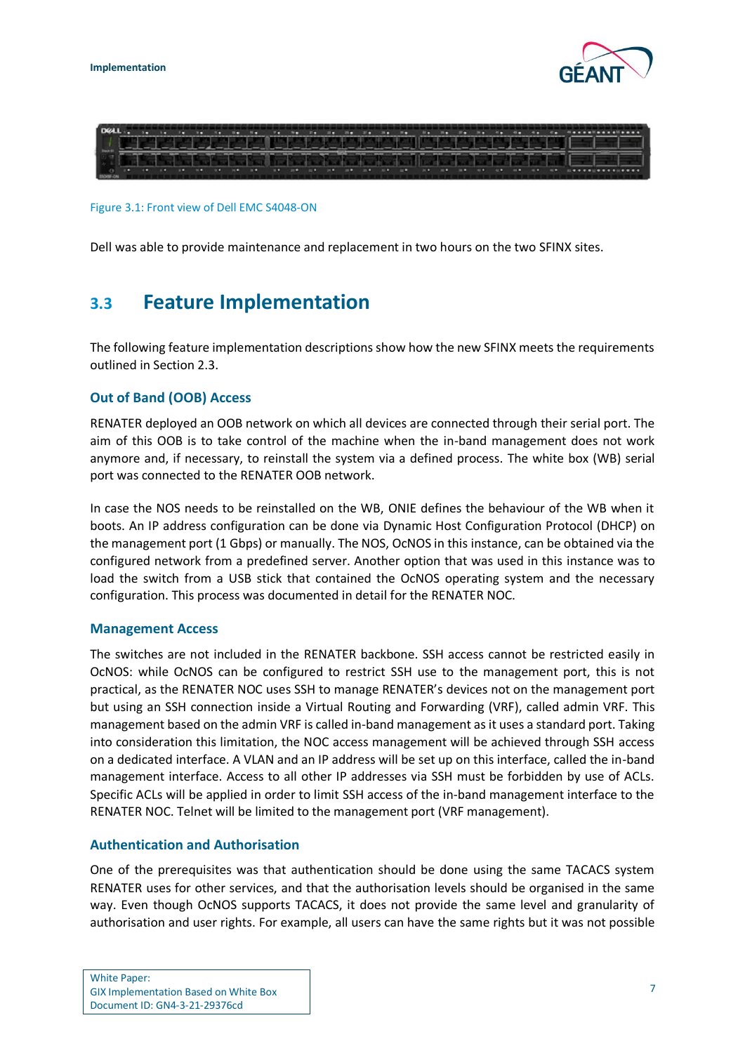



<span id="page-9-1"></span>Figure 3.1: Front view of Dell EMC S4048-ON

Dell was able to provide maintenance and replacement in two hours on the two SFINX sites.

## <span id="page-9-0"></span>**3.3 Feature Implementation**

The following feature implementation descriptions show how the new SFINX meets the requirements outlined in Section [2.3.](#page-6-1)

#### **Out of Band (OOB) Access**

RENATER deployed an OOB network on which all devices are connected through their serial port. The aim of this OOB is to take control of the machine when the in-band management does not work anymore and, if necessary, to reinstall the system via a defined process. The white box (WB) serial port was connected to the RENATER OOB network.

In case the NOS needs to be reinstalled on the WB, ONIE defines the behaviour of the WB when it boots. An IP address configuration can be done via Dynamic Host Configuration Protocol (DHCP) on the management port (1 Gbps) or manually. The NOS, OcNOS in this instance, can be obtained via the configured network from a predefined server. Another option that was used in this instance was to load the switch from a USB stick that contained the OcNOS operating system and the necessary configuration. This process was documented in detail for the RENATER NOC.

#### **Management Access**

The switches are not included in the RENATER backbone. SSH access cannot be restricted easily in OcNOS: while OcNOS can be configured to restrict SSH use to the management port, this is not practical, as the RENATER NOC uses SSH to manage RENATER's devices not on the management port but using an SSH connection inside a Virtual Routing and Forwarding (VRF), called admin VRF. This management based on the admin VRF is called in-band management as it uses a standard port. Taking into consideration this limitation, the NOC access management will be achieved through SSH access on a dedicated interface. A VLAN and an IP address will be set up on this interface, called the in-band management interface. Access to all other IP addresses via SSH must be forbidden by use of ACLs. Specific ACLs will be applied in order to limit SSH access of the in-band management interface to the RENATER NOC. Telnet will be limited to the management port (VRF management).

#### **Authentication and Authorisation**

One of the prerequisites was that authentication should be done using the same TACACS system RENATER uses for other services, and that the authorisation levels should be organised in the same way. Even though OcNOS supports TACACS, it does not provide the same level and granularity of authorisation and user rights. For example, all users can have the same rights but it was not possible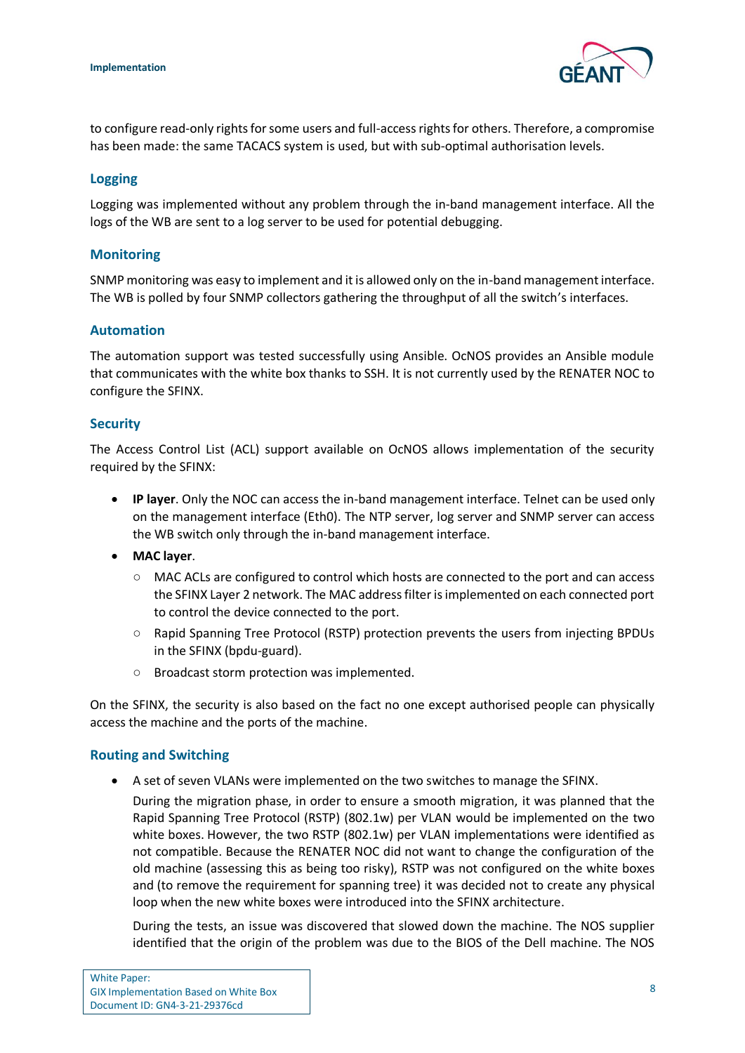

to configure read-only rights for some users and full-access rights for others. Therefore, a compromise has been made: the same TACACS system is used, but with sub-optimal authorisation levels.

#### **Logging**

Logging was implemented without any problem through the in-band management interface. All the logs of the WB are sent to a log server to be used for potential debugging.

#### **Monitoring**

SNMP monitoring was easy to implement and it is allowed only on the in-band management interface. The WB is polled by four SNMP collectors gathering the throughput of all the switch's interfaces.

#### **Automation**

The automation support was tested successfully using Ansible. OcNOS provides an Ansible module that communicates with the white box thanks to SSH. It is not currently used by the RENATER NOC to configure the SFINX.

#### **Security**

The Access Control List (ACL) support available on OcNOS allows implementation of the security required by the SFINX:

- **IP layer**. Only the NOC can access the in-band management interface. Telnet can be used only on the management interface (Eth0). The NTP server, log server and SNMP server can access the WB switch only through the in-band management interface.
- **MAC layer**.
	- MAC ACLs are configured to control which hosts are connected to the port and can access the SFINX Layer 2 network. The MAC address filter is implemented on each connected port to control the device connected to the port.
	- Rapid Spanning Tree Protocol (RSTP) protection prevents the users from injecting BPDUs in the SFINX (bpdu-guard).
	- Broadcast storm protection was implemented.

On the SFINX, the security is also based on the fact no one except authorised people can physically access the machine and the ports of the machine.

#### **Routing and Switching**

• A set of seven VLANs were implemented on the two switches to manage the SFINX.

During the migration phase, in order to ensure a smooth migration, it was planned that the Rapid Spanning Tree Protocol (RSTP) (802.1w) per VLAN would be implemented on the two white boxes. However, the two RSTP (802.1w) per VLAN implementations were identified as not compatible. Because the RENATER NOC did not want to change the configuration of the old machine (assessing this as being too risky), RSTP was not configured on the white boxes and (to remove the requirement for spanning tree) it was decided not to create any physical loop when the new white boxes were introduced into the SFINX architecture.

During the tests, an issue was discovered that slowed down the machine. The NOS supplier identified that the origin of the problem was due to the BIOS of the Dell machine. The NOS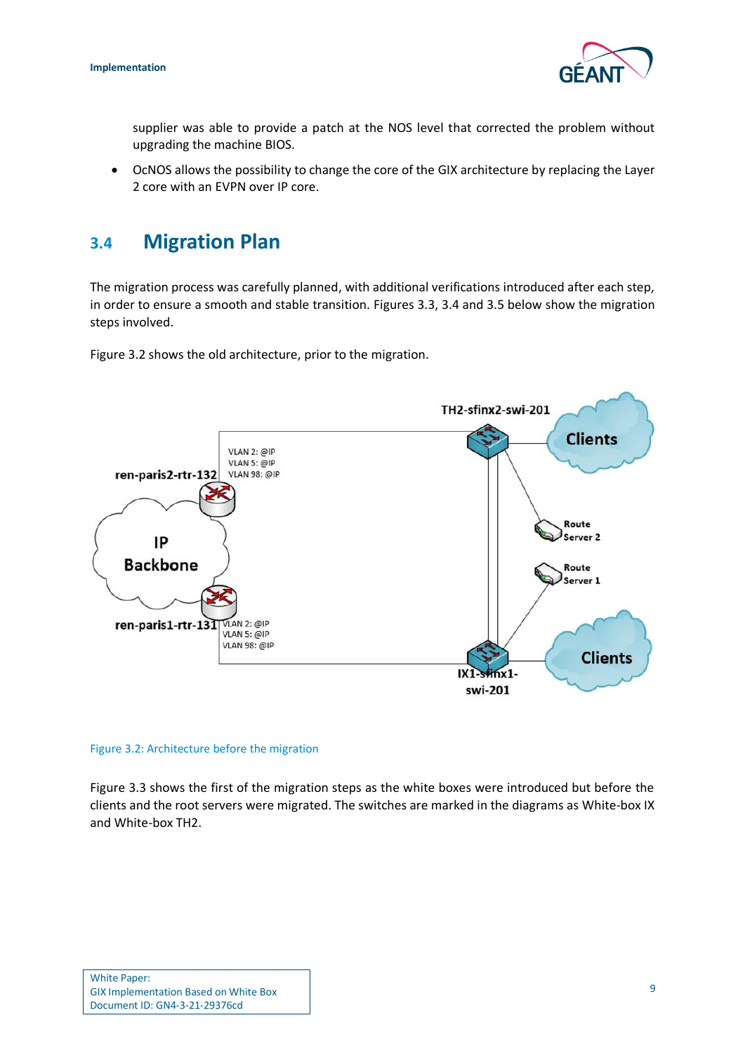

supplier was able to provide a patch at the NOS level that corrected the problem without upgrading the machine BIOS.

• OcNOS allows the possibility to change the core of the GIX architecture by replacing the Layer 2 core with an EVPN over IP core.

## <span id="page-11-0"></span>**3.4 Migration Plan**

The migration process was carefully planned, with additional verifications introduced after each step, in order to ensure a smooth and stable transition. Figures [3.3,](#page-12-2) [3.4](#page-12-3) and [3.5](#page-13-1) below show the migration steps involved.

[Figure 3.2](#page-11-1) shows the old architecture, prior to the migration.



<span id="page-11-1"></span>Figure 3.2: Architecture before the migration

[Figure 3.3](#page-12-0) shows the first of the migration steps as the white boxes were introduced but before the clients and the root servers were migrated. The switches are marked in the diagrams as White-box IX and White-box TH2.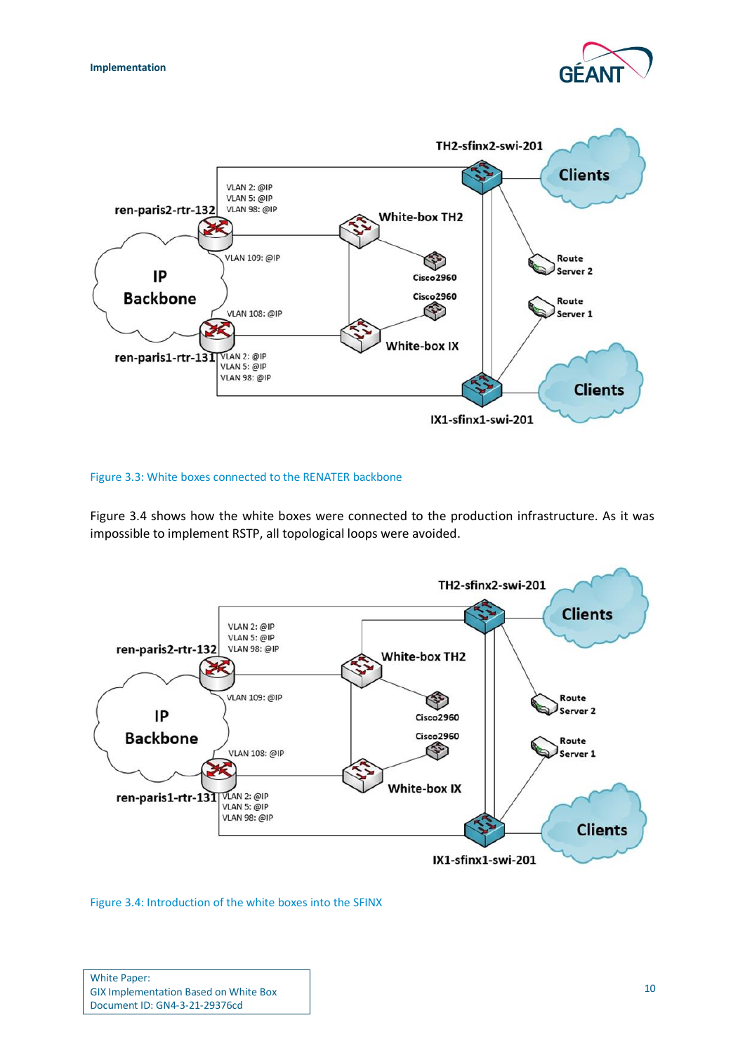



#### <span id="page-12-2"></span><span id="page-12-0"></span>Figure 3.3: White boxes connected to the RENATER backbone

[Figure 3.4](#page-12-1) shows how the white boxes were connected to the production infrastructure. As it was impossible to implement RSTP, all topological loops were avoided.



<span id="page-12-3"></span><span id="page-12-1"></span>Figure 3.4: Introduction of the white boxes into the SFINX

| <b>White Paper:</b>                          |  |
|----------------------------------------------|--|
| <b>GIX Implementation Based on White Box</b> |  |
| Document ID: GN4-3-21-29376cd                |  |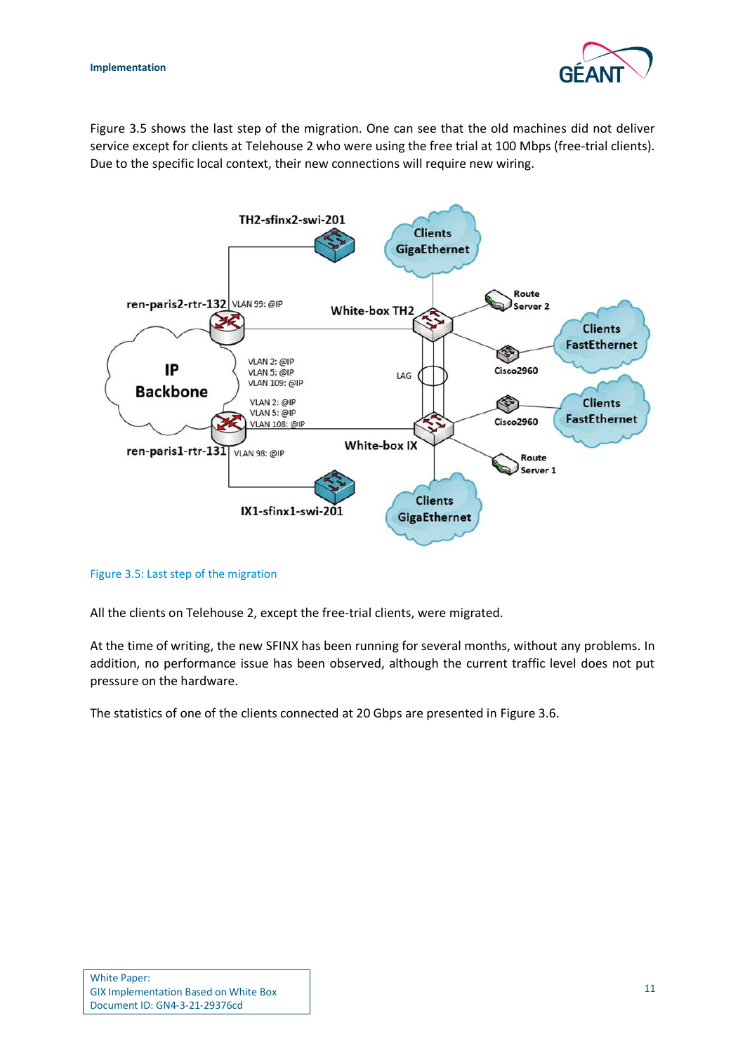

[Figure 3.5](#page-13-0) shows the last step of the migration. One can see that the old machines did not deliver service except for clients at Telehouse 2 who were using the free trial at 100 Mbps (free-trial clients). Due to the specific local context, their new connections will require new wiring.



<span id="page-13-1"></span><span id="page-13-0"></span>Figure 3.5: Last step of the migration

All the clients on Telehouse 2, except the free-trial clients, were migrated.

At the time of writing, the new SFINX has been running for several months, without any problems. In addition, no performance issue has been observed, although the current traffic level does not put pressure on the hardware.

The statistics of one of the clients connected at 20 Gbps are presented in [Figure 3.6.](#page-14-0)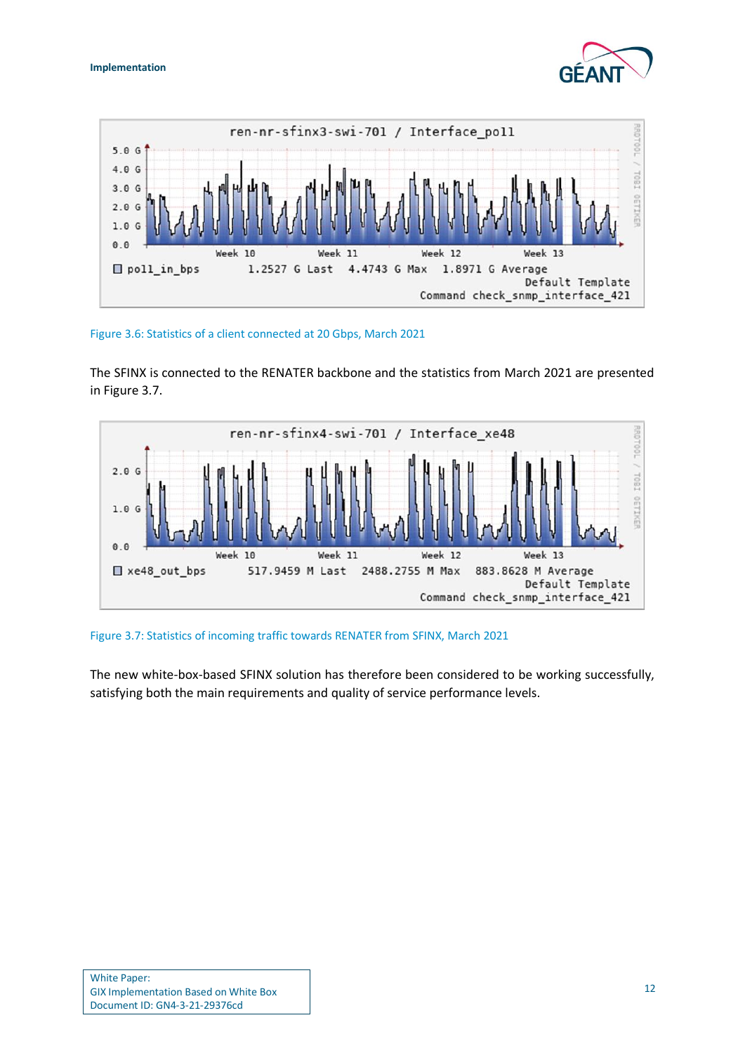



<span id="page-14-0"></span>Figure 3.6: Statistics of a client connected at 20 Gbps, March 2021

The SFINX is connected to the RENATER backbone and the statistics from March 2021 are presented in [Figure 3.7.](#page-14-1)



<span id="page-14-1"></span>Figure 3.7: Statistics of incoming traffic towards RENATER from SFINX, March 2021

The new white-box-based SFINX solution has therefore been considered to be working successfully, satisfying both the main requirements and quality of service performance levels.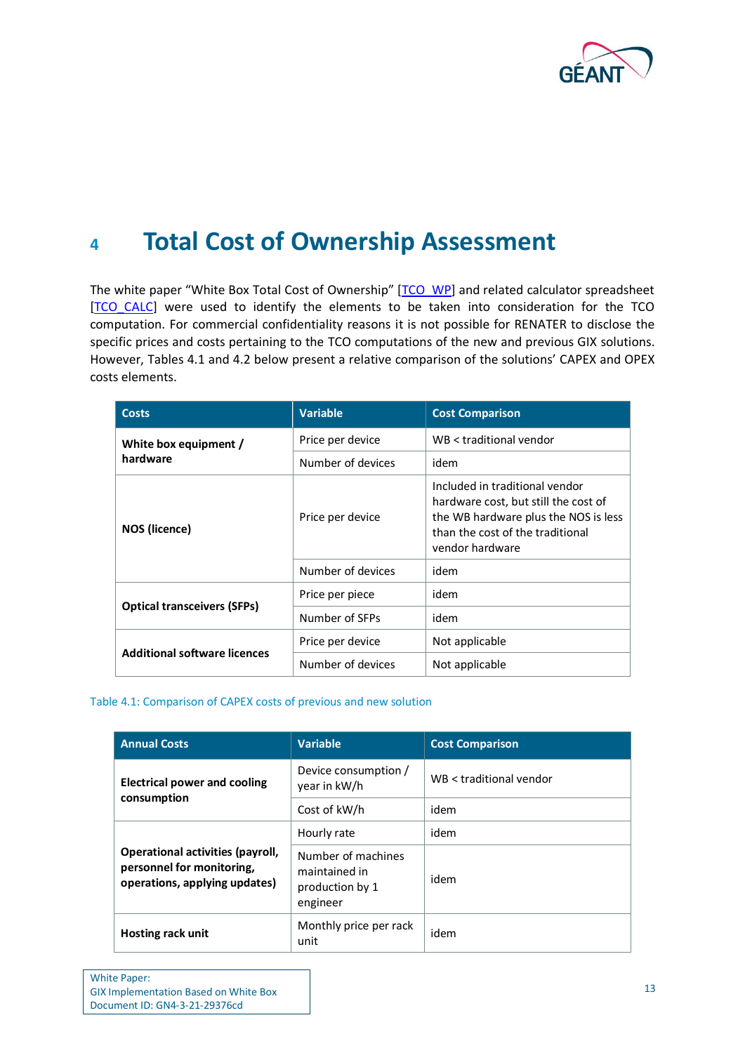

## <span id="page-15-0"></span>**<sup>4</sup> Total Cost of Ownership Assessment**

The white paper "White Box Total Cost of Ownership" [[TCO\\_WP\]](#page-18-4) and related calculator spreadsheet [\[TCO\\_CALC\]](#page-18-5) were used to identify the elements to be taken into consideration for the TCO computation. For commercial confidentiality reasons it is not possible for RENATER to disclose the specific prices and costs pertaining to the TCO computations of the new and previous GIX solutions. However, Tables [4.1](#page-15-2) and [4.2](#page-16-1) below present a relative comparison of the solutions' CAPEX and OPEX costs elements.

| <b>Costs</b>                        | <b>Variable</b>   | <b>Cost Comparison</b>                                                                                                                                                |
|-------------------------------------|-------------------|-----------------------------------------------------------------------------------------------------------------------------------------------------------------------|
| White box equipment /               | Price per device  | WB < traditional vendor                                                                                                                                               |
| hardware                            | Number of devices | idem                                                                                                                                                                  |
| NOS (licence)                       | Price per device  | Included in traditional vendor<br>hardware cost, but still the cost of<br>the WB hardware plus the NOS is less<br>than the cost of the traditional<br>vendor hardware |
|                                     | Number of devices | idem                                                                                                                                                                  |
| <b>Optical transceivers (SFPs)</b>  | Price per piece   | idem                                                                                                                                                                  |
|                                     | Number of SFPs    | idem                                                                                                                                                                  |
| <b>Additional software licences</b> | Price per device  | Not applicable                                                                                                                                                        |
|                                     | Number of devices | Not applicable                                                                                                                                                        |

#### <span id="page-15-2"></span><span id="page-15-1"></span>Table 4.1: Comparison of CAPEX costs of previous and new solution

| <b>Annual Costs</b>                                                                            | <b>Variable</b>                                                    | <b>Cost Comparison</b>  |  |
|------------------------------------------------------------------------------------------------|--------------------------------------------------------------------|-------------------------|--|
| Electrical power and cooling<br>consumption                                                    | Device consumption /<br>year in kW/h                               | WB < traditional vendor |  |
|                                                                                                | Cost of kW/h                                                       | idem                    |  |
|                                                                                                | Hourly rate                                                        | idem                    |  |
| Operational activities (payroll,<br>personnel for monitoring,<br>operations, applying updates) | Number of machines<br>maintained in<br>production by 1<br>engineer | idem                    |  |
| Hosting rack unit                                                                              | Monthly price per rack<br>unit                                     | idem                    |  |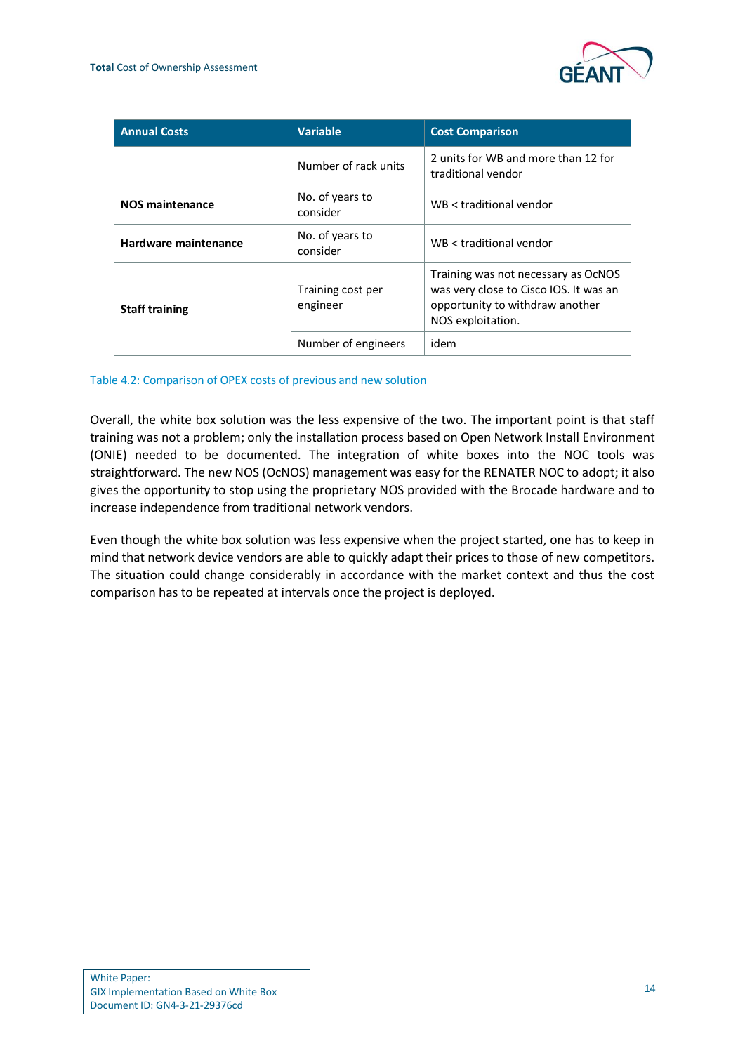

| <b>Annual Costs</b>    | <b>Variable</b>               | <b>Cost Comparison</b>                                                                                                                |
|------------------------|-------------------------------|---------------------------------------------------------------------------------------------------------------------------------------|
|                        | Number of rack units          | 2 units for WB and more than 12 for<br>traditional vendor                                                                             |
| <b>NOS maintenance</b> | No. of years to<br>consider   | WB < traditional vendor                                                                                                               |
| Hardware maintenance   | No. of years to<br>consider   | WB < traditional vendor                                                                                                               |
| <b>Staff training</b>  | Training cost per<br>engineer | Training was not necessary as OcNOS<br>was very close to Cisco IOS. It was an<br>opportunity to withdraw another<br>NOS exploitation. |
|                        | Number of engineers           | idem                                                                                                                                  |

#### <span id="page-16-1"></span><span id="page-16-0"></span>Table 4.2: Comparison of OPEX costs of previous and new solution

Overall, the white box solution was the less expensive of the two. The important point is that staff training was not a problem; only the installation process based on Open Network Install Environment (ONIE) needed to be documented. The integration of white boxes into the NOC tools was straightforward. The new NOS (OcNOS) management was easy for the RENATER NOC to adopt; it also gives the opportunity to stop using the proprietary NOS provided with the Brocade hardware and to increase independence from traditional network vendors.

Even though the white box solution was less expensive when the project started, one has to keep in mind that network device vendors are able to quickly adapt their prices to those of new competitors. The situation could change considerably in accordance with the market context and thus the cost comparison has to be repeated at intervals once the project is deployed.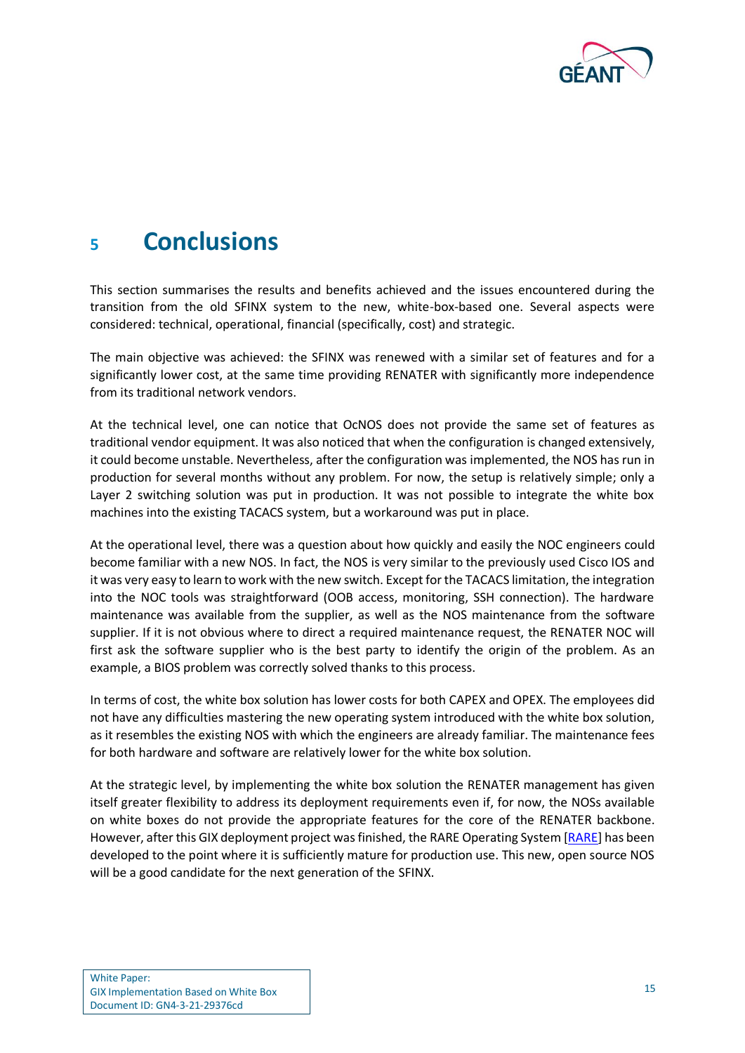

## <span id="page-17-0"></span>**<sup>5</sup> Conclusions**

This section summarises the results and benefits achieved and the issues encountered during the transition from the old SFINX system to the new, white-box-based one. Several aspects were considered: technical, operational, financial (specifically, cost) and strategic.

The main objective was achieved: the SFINX was renewed with a similar set of features and for a significantly lower cost, at the same time providing RENATER with significantly more independence from its traditional network vendors.

At the technical level, one can notice that OcNOS does not provide the same set of features as traditional vendor equipment. It was also noticed that when the configuration is changed extensively, it could become unstable. Nevertheless, after the configuration was implemented, the NOS has run in production for several months without any problem. For now, the setup is relatively simple; only a Layer 2 switching solution was put in production. It was not possible to integrate the white box machines into the existing TACACS system, but a workaround was put in place.

At the operational level, there was a question about how quickly and easily the NOC engineers could become familiar with a new NOS. In fact, the NOS is very similar to the previously used Cisco IOS and it was very easy to learn to work with the new switch. Except for the TACACS limitation, the integration into the NOC tools was straightforward (OOB access, monitoring, SSH connection). The hardware maintenance was available from the supplier, as well as the NOS maintenance from the software supplier. If it is not obvious where to direct a required maintenance request, the RENATER NOC will first ask the software supplier who is the best party to identify the origin of the problem. As an example, a BIOS problem was correctly solved thanks to this process.

In terms of cost, the white box solution has lower costs for both CAPEX and OPEX. The employees did not have any difficulties mastering the new operating system introduced with the white box solution, as it resembles the existing NOS with which the engineers are already familiar. The maintenance fees for both hardware and software are relatively lower for the white box solution.

At the strategic level, by implementing the white box solution the RENATER management has given itself greater flexibility to address its deployment requirements even if, for now, the NOSs available on white boxes do not provide the appropriate features for the core of the RENATER backbone. However, after this GIX deployment project was finished, the RARE Operating System [\[RARE\]](#page-18-1) has been developed to the point where it is sufficiently mature for production use. This new, open source NOS will be a good candidate for the next generation of the SFINX.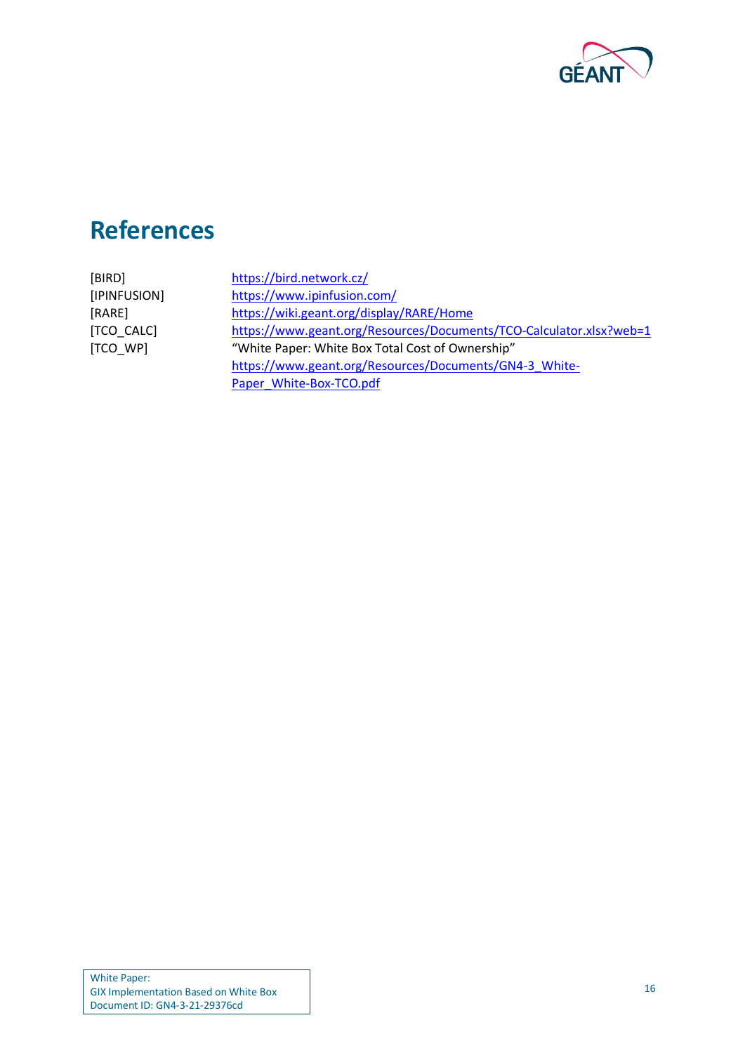

## <span id="page-18-0"></span>**References**

<span id="page-18-5"></span><span id="page-18-4"></span><span id="page-18-3"></span><span id="page-18-2"></span><span id="page-18-1"></span>

| [BIRD]       | https://bird.network.cz/                                            |
|--------------|---------------------------------------------------------------------|
| [IPINFUSION] | https://www.ipinfusion.com/                                         |
| [RARE]       | https://wiki.geant.org/display/RARE/Home                            |
| [TCO CALC]   | https://www.geant.org/Resources/Documents/TCO-Calculator.xlsx?web=1 |
| [TCO WP]     | "White Paper: White Box Total Cost of Ownership"                    |
|              | https://www.geant.org/Resources/Documents/GN4-3 White-              |
|              | Paper_White-Box-TCO.pdf                                             |
|              |                                                                     |